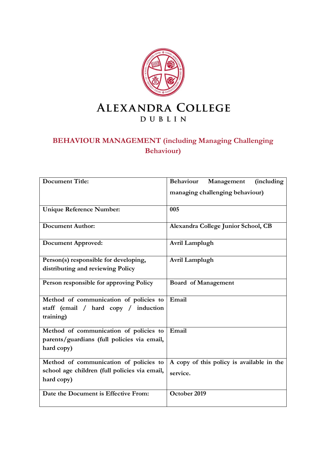

# **BEHAVIOUR MANAGEMENT (including Managing Challenging Behaviour)**

| <b>Document Title:</b>                                      | <b>Behaviour</b><br>Management<br><i>(including</i> |
|-------------------------------------------------------------|-----------------------------------------------------|
|                                                             | managing challenging behaviour)                     |
| <b>Unique Reference Number:</b>                             | 005                                                 |
| <b>Document Author:</b>                                     | Alexandra College Junior School, CB                 |
| <b>Document Approved:</b>                                   | Avril Lamplugh                                      |
| Person(s) responsible for developing,                       | Avril Lamplugh                                      |
| distributing and reviewing Policy                           |                                                     |
| Person responsible for approving Policy                     | <b>Board of Management</b>                          |
| Method of communication of policies to                      | Email                                               |
| staff (email / hard copy / induction                        |                                                     |
| training)                                                   |                                                     |
| Method of communication of policies to                      | Email                                               |
| parents/guardians (full policies via email,<br>hard copy)   |                                                     |
| Method of communication of policies to                      | A copy of this policy is available in the           |
| school age children (full policies via email,<br>hard copy) | service.                                            |
| Date the Document is Effective From:                        | October 2019                                        |
|                                                             |                                                     |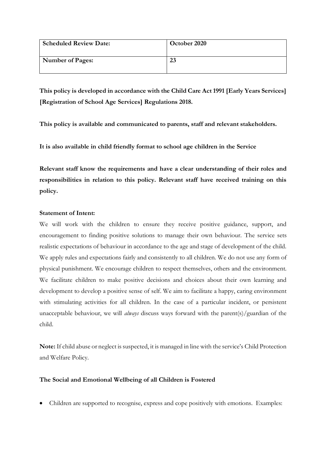| <b>Scheduled Review Date:</b> | October 2020 |
|-------------------------------|--------------|
| <b>Number of Pages:</b>       | 23           |

**This policy is developed in accordance with the Child Care Act 1991 [Early Years Services] [Registration of School Age Services] Regulations 2018.**

**This policy is available and communicated to parents, staff and relevant stakeholders.**

**It is also available in child friendly format to school age children in the Service**

**Relevant staff know the requirements and have a clear understanding of their roles and responsibilities in relation to this policy. Relevant staff have received training on this policy.** 

# **Statement of Intent:**

We will work with the children to ensure they receive positive guidance, support, and encouragement to finding positive solutions to manage their own behaviour. The service sets realistic expectations of behaviour in accordance to the age and stage of development of the child. We apply rules and expectations fairly and consistently to all children. We do not use any form of physical punishment. We encourage children to respect themselves, others and the environment. We facilitate children to make positive decisions and choices about their own learning and development to develop a positive sense of self. We aim to facilitate a happy, caring environment with stimulating activities for all children. In the case of a particular incident, or persistent unacceptable behaviour, we will *always* discuss ways forward with the parent(s)/guardian of the child.

**Note:** If child abuse or neglect is suspected, it is managed in line with the service's Child Protection and Welfare Policy.

# **The Social and Emotional Wellbeing of all Children is Fostered**

• Children are supported to recognise, express and cope positively with emotions. Examples: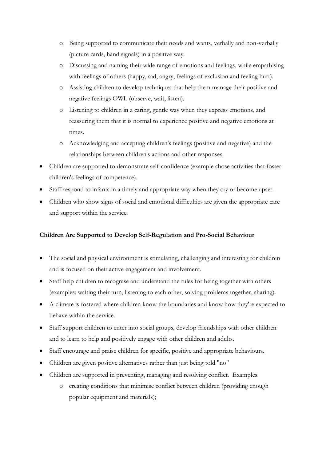- o Being supported to communicate their needs and wants, verbally and non-verbally (picture cards, hand signals) in a positive way.
- o Discussing and naming their wide range of emotions and feelings, while empathising with feelings of others (happy, sad, angry, feelings of exclusion and feeling hurt).
- o Assisting children to develop techniques that help them manage their positive and negative feelings OWL (observe, wait, listen).
- o Listening to children in a caring, gentle way when they express emotions, and reassuring them that it is normal to experience positive and negative emotions at times.
- o Acknowledging and accepting children's feelings (positive and negative) and the relationships between children's actions and other responses.
- Children are supported to demonstrate self-confidence (example chose activities that foster children's feelings of competence).
- Staff respond to infants in a timely and appropriate way when they cry or become upset.
- Children who show signs of social and emotional difficulties are given the appropriate care and support within the service.

# **Children Are Supported to Develop Self-Regulation and Pro-Social Behaviour**

- The social and physical environment is stimulating, challenging and interesting for children and is focused on their active engagement and involvement.
- Staff help children to recognise and understand the rules for being together with others (examples: waiting their turn, listening to each other, solving problems together, sharing).
- A climate is fostered where children know the boundaries and know how they're expected to behave within the service.
- Staff support children to enter into social groups, develop friendships with other children and to learn to help and positively engage with other children and adults.
- Staff encourage and praise children for specific, positive and appropriate behaviours.
- Children are given positive alternatives rather than just being told "no"
- Children are supported in preventing, managing and resolving conflict. Examples:
	- o creating conditions that minimise conflict between children (providing enough popular equipment and materials);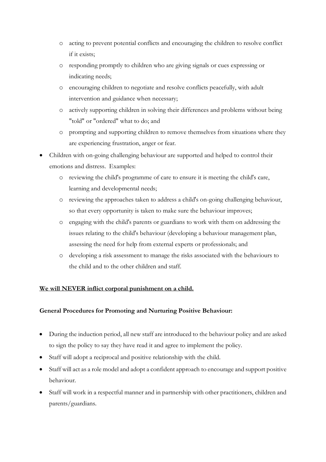- o acting to prevent potential conflicts and encouraging the children to resolve conflict if it exists;
- o responding promptly to children who are giving signals or cues expressing or indicating needs;
- o encouraging children to negotiate and resolve conflicts peacefully, with adult intervention and guidance when necessary;
- o actively supporting children in solving their differences and problems without being "told" or "ordered" what to do; and
- o prompting and supporting children to remove themselves from situations where they are experiencing frustration, anger or fear.
- Children with on-going challenging behaviour are supported and helped to control their emotions and distress. Examples:
	- o reviewing the child's programme of care to ensure it is meeting the child's care, learning and developmental needs;
	- o reviewing the approaches taken to address a child's on-going challenging behaviour, so that every opportunity is taken to make sure the behaviour improves;
	- o engaging with the child's parents or guardians to work with them on addressing the issues relating to the child's behaviour (developing a behaviour management plan, assessing the need for help from external experts or professionals; and
	- o developing a risk assessment to manage the risks associated with the behaviours to the child and to the other children and staff.

# **We will NEVER inflict corporal punishment on a child.**

# **General Procedures for Promoting and Nurturing Positive Behaviour:**

- During the induction period, all new staff are introduced to the behaviour policy and are asked to sign the policy to say they have read it and agree to implement the policy.
- Staff will adopt a reciprocal and positive relationship with the child.
- Staff will act as a role model and adopt a confident approach to encourage and support positive behaviour.
- Staff will work in a respectful manner and in partnership with other practitioners, children and parents/guardians.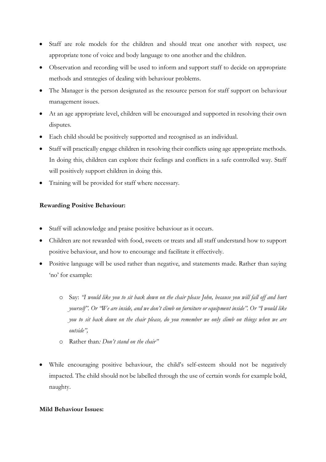- Staff are role models for the children and should treat one another with respect, use appropriate tone of voice and body language to one another and the children.
- Observation and recording will be used to inform and support staff to decide on appropriate methods and strategies of dealing with behaviour problems.
- The Manager is the person designated as the resource person for staff support on behaviour management issues.
- At an age appropriate level, children will be encouraged and supported in resolving their own disputes.
- Each child should be positively supported and recognised as an individual.
- Staff will practically engage children in resolving their conflicts using age appropriate methods. In doing this, children can explore their feelings and conflicts in a safe controlled way. Staff will positively support children in doing this.
- Training will be provided for staff where necessary.

#### **Rewarding Positive Behaviour:**

- Staff will acknowledge and praise positive behaviour as it occurs.
- Children are not rewarded with food, sweets or treats and all staff understand how to support positive behaviour, and how to encourage and facilitate it effectively.
- Positive language will be used rather than negative, and statements made. Rather than saying 'no' for example:
	- o Say: *"I would like you to sit back down on the chair please John, because you will fall off and hurt yourself". Or "We are inside, and we don't climb on furniture or equipment inside". Or "I would like you to sit back down on the chair please, do you remember we only climb on things when we are outside",*
	- o Rather than*: Don't stand on the chair"*
- While encouraging positive behaviour, the child's self-esteem should not be negatively impacted. The child should not be labelled through the use of certain words for example bold, naughty.

#### **Mild Behaviour Issues:**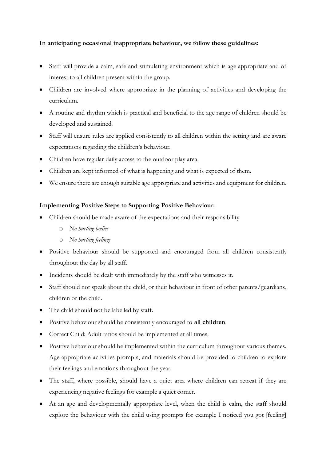# **In anticipating occasional inappropriate behaviour, we follow these guidelines:**

- Staff will provide a calm, safe and stimulating environment which is age appropriate and of interest to all children present within the group.
- Children are involved where appropriate in the planning of activities and developing the curriculum.
- A routine and rhythm which is practical and beneficial to the age range of children should be developed and sustained.
- Staff will ensure rules are applied consistently to all children within the setting and are aware expectations regarding the children's behaviour.
- Children have regular daily access to the outdoor play area.
- Children are kept informed of what is happening and what is expected of them.
- We ensure there are enough suitable age appropriate and activities and equipment for children.

# **Implementing Positive Steps to Supporting Positive Behaviour:**

- Children should be made aware of the expectations and their responsibility
	- o *No hurting bodies*
	- o *No hurting feelings*
- Positive behaviour should be supported and encouraged from all children consistently throughout the day by all staff.
- Incidents should be dealt with immediately by the staff who witnesses it.
- Staff should not speak about the child, or their behaviour in front of other parents/guardians, children or the child.
- The child should not be labelled by staff.
- Positive behaviour should be consistently encouraged to **all children**.
- Correct Child: Adult ratios should be implemented at all times.
- Positive behaviour should be implemented within the curriculum throughout various themes. Age appropriate activities prompts, and materials should be provided to children to explore their feelings and emotions throughout the year.
- The staff, where possible, should have a quiet area where children can retreat if they are experiencing negative feelings for example a quiet corner.
- At an age and developmentally appropriate level, when the child is calm, the staff should explore the behaviour with the child using prompts for example I noticed you got [feeling]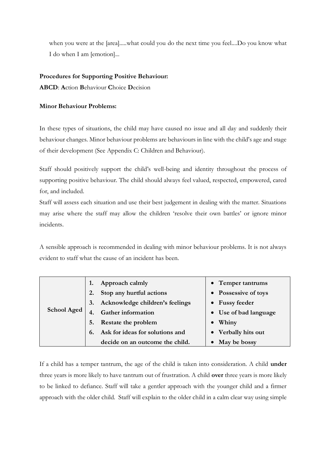when you were at the [area].....what could you do the next time you feel....Do you know what I do when I am [emotion]...

## **Procedures for Supporting Positive Behaviour:**

**ABCD**: **A**ction **B**ehaviour **C**hoice **D**ecision

## **Minor Behaviour Problems:**

In these types of situations, the child may have caused no issue and all day and suddenly their behaviour changes. Minor behaviour problems are behaviours in line with the child's age and stage of their development (See Appendix C: Children and Behaviour).

Staff should positively support the child's well-being and identity throughout the process of supporting positive behaviour. The child should always feel valued, respected, empowered, cared for, and included.

Staff will assess each situation and use their best judgement in dealing with the matter. Situations may arise where the staff may allow the children 'resolve their own battles' or ignore minor incidents.

A sensible approach is recommended in dealing with minor behaviour problems. It is not always evident to staff what the cause of an incident has been.

|                    | Approach calmly                       | • Temper tantrums     |
|--------------------|---------------------------------------|-----------------------|
|                    | Stop any hurtful actions<br>2.        | • Possessive of toys  |
|                    | Acknowledge children's feelings<br>3. | • Fussy feeder        |
| <b>School Aged</b> | <b>Gather information</b>             | • Use of bad language |
|                    | Restate the problem<br>5.             | Whiny<br>$\bullet$    |
|                    | Ask for ideas for solutions and<br>6. | • Verbally hits out   |
|                    | decide on an outcome the child.       | May be bossy          |

If a child has a temper tantrum, the age of the child is taken into consideration. A child **under** three years is more likely to have tantrum out of frustration. A child **over** three years is more likely to be linked to defiance. Staff will take a gentler approach with the younger child and a firmer approach with the older child. Staff will explain to the older child in a calm clear way using simple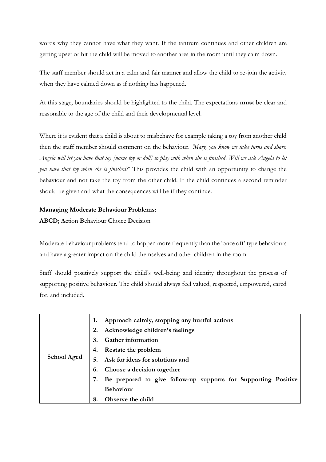words why they cannot have what they want. If the tantrum continues and other children are getting upset or hit the child will be moved to another area in the room until they calm down.

The staff member should act in a calm and fair manner and allow the child to re-join the activity when they have calmed down as if nothing has happened.

At this stage, boundaries should be highlighted to the child. The expectations **must** be clear and reasonable to the age of the child and their developmental level.

Where it is evident that a child is about to misbehave for example taking a toy from another child then the staff member should comment on the behaviour. *'Mary, you know we take turns and share. Angela will let you have that toy [name toy or doll] to play with when she is finished*. *Will we ask Angela to let you have that toy when she is finished?*' This provides the child with an opportunity to change the behaviour and not take the toy from the other child. If the child continues a second reminder should be given and what the consequences will be if they continue.

## **Managing Moderate Behaviour Problems:**

**ABCD**; **A**ction **B**ehaviour **C**hoice **D**ecision

Moderate behaviour problems tend to happen more frequently than the 'once off' type behaviours and have a greater impact on the child themselves and other children in the room.

Staff should positively support the child's well-being and identity throughout the process of supporting positive behaviour. The child should always feel valued, respected, empowered, cared for, and included.

|                    | Approach calmly, stopping any hurtful actions                        |  |  |
|--------------------|----------------------------------------------------------------------|--|--|
|                    | Acknowledge children's feelings                                      |  |  |
|                    | <b>Gather information</b><br>3.                                      |  |  |
| <b>School Aged</b> | Restate the problem<br>4.                                            |  |  |
|                    | Ask for ideas for solutions and                                      |  |  |
|                    | Choose a decision together<br>6.                                     |  |  |
|                    | Be prepared to give follow-up supports for Supporting Positive<br>7. |  |  |
|                    | <b>Behaviour</b>                                                     |  |  |
|                    | Observe the child<br>8.                                              |  |  |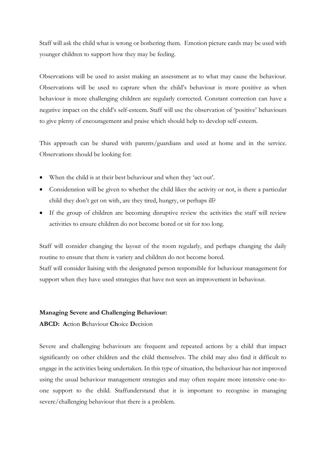Staff will ask the child what is wrong or bothering them. Emotion picture cards may be used with younger children to support how they may be feeling.

Observations will be used to assist making an assessment as to what may cause the behaviour. Observations will be used to capture when the child's behaviour is more positive as when behaviour is more challenging children are regularly corrected. Constant correction can have a negative impact on the child's self-esteem. Staff will use the observation of 'positive' behaviours to give plenty of encouragement and praise which should help to develop self-esteem.

This approach can be shared with parents/guardians and used at home and in the service. Observations should be looking for:

- When the child is at their best behaviour and when they 'act out'.
- Consideration will be given to whether the child likes the activity or not, is there a particular child they don't get on with, are they tired, hungry, or perhaps ill?
- If the group of children are becoming disruptive review the activities the staff will review activities to ensure children do not become bored or sit for too long.

Staff will consider changing the layout of the room regularly, and perhaps changing the daily routine to ensure that there is variety and children do not become bored. Staff will consider liaising with the designated person responsible for behaviour management for support when they have used strategies that have not seen an improvement in behaviour.

#### **Managing Severe and Challenging Behaviour:**

**ABCD: A**ction **B**ehaviour **Ch**oice **D**ecision

Severe and challenging behaviours are frequent and repeated actions by a child that impact significantly on other children and the child themselves. The child may also find it difficult to engage in the activities being undertaken. In this type of situation, the behaviour has not improved using the usual behaviour management strategies and may often require more intensive one-toone support to the child. Staffunderstand that it is important to recognise in managing severe/challenging behaviour that there is a problem.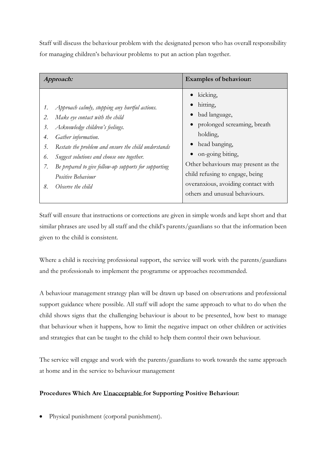Staff will discuss the behaviour problem with the designated person who has overall responsibility for managing children's behaviour problems to put an action plan together.

| kicking,<br>hitting,<br>Approach calmly, stopping any hurtful actions.<br>1.<br>bad language,<br>Make eye contact with the child<br>2.<br>• prolonged screaming, breath<br>Acknowledge children's feelings.<br>3.<br>holding,<br>Gather information.<br>4.<br>head banging,<br>Restate the problem and ensure the child understands<br>5.<br>• on-going biting,<br>Suggest solutions and choose one together.<br>6.<br>Other behaviours may present as the<br>Be prepared to give follow-up supports for supporting<br>7.<br>child refusing to engage, being<br>Positive Behaviour<br>overanxious, avoiding contact with<br>8.<br>Observe the child | Approach: |  | <b>Examples of behaviour:</b>  |
|-----------------------------------------------------------------------------------------------------------------------------------------------------------------------------------------------------------------------------------------------------------------------------------------------------------------------------------------------------------------------------------------------------------------------------------------------------------------------------------------------------------------------------------------------------------------------------------------------------------------------------------------------------|-----------|--|--------------------------------|
|                                                                                                                                                                                                                                                                                                                                                                                                                                                                                                                                                                                                                                                     |           |  | others and unusual behaviours. |

Staff will ensure that instructions or corrections are given in simple words and kept short and that similar phrases are used by all staff and the child's parents/guardians so that the information been given to the child is consistent.

Where a child is receiving professional support, the service will work with the parents/guardians and the professionals to implement the programme or approaches recommended.

A behaviour management strategy plan will be drawn up based on observations and professional support guidance where possible. All staff will adopt the same approach to what to do when the child shows signs that the challenging behaviour is about to be presented, how best to manage that behaviour when it happens, how to limit the negative impact on other children or activities and strategies that can be taught to the child to help them control their own behaviour.

The service will engage and work with the parents/guardians to work towards the same approach at home and in the service to behaviour management

# **Procedures Which Are Unacceptable for Supporting Positive Behaviour:**

Physical punishment (corporal punishment).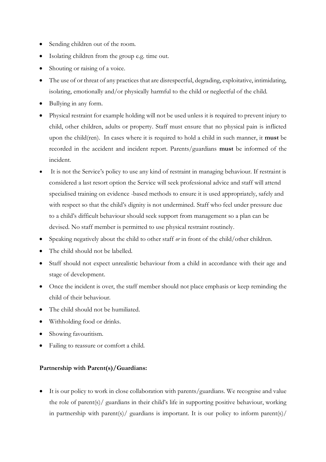- Sending children out of the room.
- Isolating children from the group e.g. time out.
- Shouting or raising of a voice.
- The use of or threat of any practices that are disrespectful, degrading, exploitative, intimidating, isolating, emotionally and/or physically harmful to the child or neglectful of the child.
- Bullying in any form.
- Physical restraint for example holding will not be used unless it is required to prevent injury to child, other children, adults or property. Staff must ensure that no physical pain is inflicted upon the child(ren). In cases where it is required to hold a child in such manner, it **must** be recorded in the accident and incident report. Parents/guardians **must** be informed of the incident.
- It is not the Service's policy to use any kind of restraint in managing behaviour. If restraint is considered a last resort option the Service will seek professional advice and staff will attend specialised training on evidence -based methods to ensure it is used appropriately, safely and with respect so that the child's dignity is not undermined. Staff who feel under pressure due to a child's difficult behaviour should seek support from management so a plan can be devised. No staff member is permitted to use physical restraint routinely.
- Speaking negatively about the child to other staff *or* in front of the child/other children.
- The child should not be labelled.
- Staff should not expect unrealistic behaviour from a child in accordance with their age and stage of development.
- Once the incident is over, the staff member should not place emphasis or keep reminding the child of their behaviour.
- The child should not be humiliated.
- Withholding food or drinks.
- Showing favouritism.
- Failing to reassure or comfort a child.

#### **Partnership with Parent(s)/Guardians:**

• It is our policy to work in close collaboration with parents/guardians. We recognise and value the role of parent(s)/ guardians in their child's life in supporting positive behaviour, working in partnership with parent(s)/ guardians is important. It is our policy to inform parent(s)/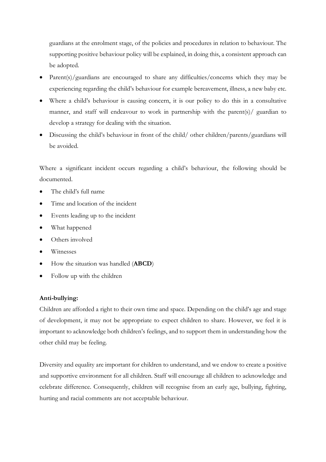guardians at the enrolment stage, of the policies and procedures in relation to behaviour. The supporting positive behaviour policy will be explained, in doing this, a consistent approach can be adopted.

- Parent(s)/guardians are encouraged to share any difficulties/concerns which they may be experiencing regarding the child's behaviour for example bereavement, illness, a new baby etc.
- Where a child's behaviour is causing concern, it is our policy to do this in a consultative manner, and staff will endeavour to work in partnership with the parent(s)/ guardian to develop a strategy for dealing with the situation.
- Discussing the child's behaviour in front of the child/ other children/parents/guardians will be avoided.

Where a significant incident occurs regarding a child's behaviour, the following should be documented.

- The child's full name
- Time and location of the incident
- Events leading up to the incident
- What happened
- Others involved
- Witnesses
- How the situation was handled (**ABCD**)
- Follow up with the children

## **Anti-bullying:**

Children are afforded a right to their own time and space. Depending on the child's age and stage of development, it may not be appropriate to expect children to share. However, we feel it is important to acknowledge both children's feelings, and to support them in understanding how the other child may be feeling.

Diversity and equality are important for children to understand, and we endow to create a positive and supportive environment for all children. Staff will encourage all children to acknowledge and celebrate difference. Consequently, children will recognise from an early age, bullying, fighting, hurting and racial comments are not acceptable behaviour.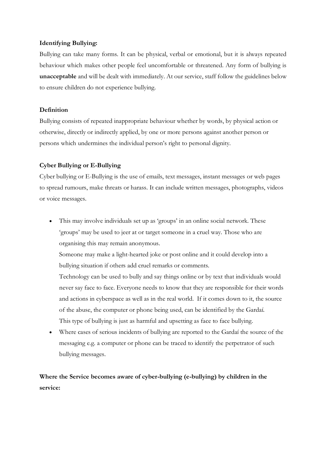#### **Identifying Bullying:**

Bullying can take many forms. It can be physical, verbal or emotional, but it is always repeated behaviour which makes other people feel uncomfortable or threatened. Any form of bullying is **unacceptable** and will be dealt with immediately. At our service, staff follow the guidelines below to ensure children do not experience bullying.

#### **Definition**

Bullying consists of repeated inappropriate behaviour whether by words, by physical action or otherwise, directly or indirectly applied, by one or more persons against another person or persons which undermines the individual person's right to personal dignity.

#### **Cyber Bullying or E-Bullying**

Cyber bullying or E-Bullying is the use of emails, text messages, instant messages or web pages to spread rumours, make threats or harass. It can include written messages, photographs, videos or voice messages.

• This may involve individuals set up as 'groups' in an online social network. These 'groups' may be used to jeer at or target someone in a cruel way. Those who are organising this may remain anonymous.

Someone may make a light-hearted joke or post online and it could develop into a bullying situation if others add cruel remarks or comments.

Technology can be used to bully and say things online or by text that individuals would never say face to face. Everyone needs to know that they are responsible for their words and actions in cyberspace as well as in the real world. If it comes down to it, the source of the abuse, the computer or phone being used, can be identified by the Gardaí. This type of bullying is just as harmful and upsetting as face to face bullying.

• Where cases of serious incidents of bullying are reported to the Gardaí the source of the messaging e.g. a computer or phone can be traced to identify the perpetrator of such bullying messages.

**Where the Service becomes aware of cyber-bullying (e-bullying) by children in the service:**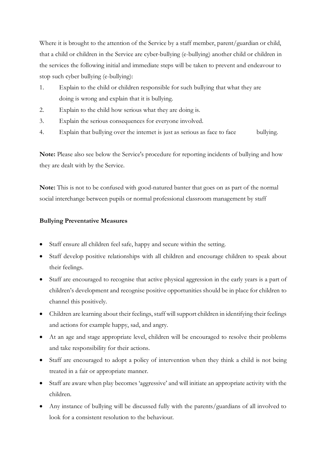Where it is brought to the attention of the Service by a staff member, parent/guardian or child, that a child or children in the Service are cyber-bullying (e-bullying) another child or children in the services the following initial and immediate steps will be taken to prevent and endeavour to stop such cyber bullying (e-bullying):

- 1. Explain to the child or children responsible for such bullying that what they are doing is wrong and explain that it is bullying.
- 2. Explain to the child how serious what they are doing is.
- 3. Explain the serious consequences for everyone involved.
- 4. Explain that bullying over the internet is just as serious as face to face bullying.

**Note:** Please also see below the Service's procedure for reporting incidents of bullying and how they are dealt with by the Service.

**Note:** This is not to be confused with good-natured banter that goes on as part of the normal social interchange between pupils or normal professional classroom management by staff

# **Bullying Preventative Measures**

- Staff ensure all children feel safe, happy and secure within the setting.
- Staff develop positive relationships with all children and encourage children to speak about their feelings.
- Staff are encouraged to recognise that active physical aggression in the early years is a part of children's development and recognise positive opportunities should be in place for children to channel this positively.
- Children are learning about their feelings, staff will support children in identifying their feelings and actions for example happy, sad, and angry.
- At an age and stage appropriate level, children will be encouraged to resolve their problems and take responsibility for their actions.
- Staff are encouraged to adopt a policy of intervention when they think a child is not being treated in a fair or appropriate manner.
- Staff are aware when play becomes 'aggressive' and will initiate an appropriate activity with the children.
- Any instance of bullying will be discussed fully with the parents/guardians of all involved to look for a consistent resolution to the behaviour.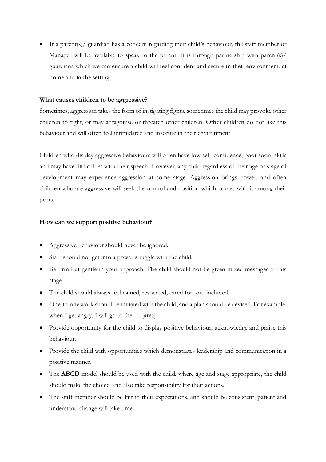• If a parent(s)/ guardian has a concern regarding their child's behaviour, the staff member or Manager will be available to speak to the parent. It is through partnership with parent(s)/ guardians which we can ensure a child will feel confident and secure in their environment, at home and in the setting.

## **What causes children to be aggressive?**

Sometimes, aggression takes the form of instigating fights, sometimes the child may provoke other children to fight, or may antagonise or threaten other children. Other children do not like this behaviour and will often feel intimidated and insecure in their environment.

Children who display aggressive behaviours will often have low self-confidence, poor social skills and may have difficulties with their speech. However, any child regardless of their age or stage of development may experience aggression at some stage. Aggression brings power, and often children who are aggressive will seek the control and position which comes with it among their peers.

## **How can we support positive behaviour?**

- Aggressive behaviour should never be ignored.
- Staff should not get into a power struggle with the child.
- Be firm but gentle in your approach. The child should not be given mixed messages at this stage.
- The child should always feel valued, respected, cared for, and included.
- One-to-one work should be initiated with the child, and a plan should be devised. For example, when I get angry, I will go to the … [area].
- Provide opportunity for the child to display positive behaviour, acknowledge and praise this behaviour.
- Provide the child with opportunities which demonstrates leadership and communication in a positive manner.
- The **ABCD** model should be used with the child, where age and stage appropriate, the child should make the choice, and also take responsibility for their actions.
- The staff member should be fair in their expectations, and should be consistent, patient and understand change will take time.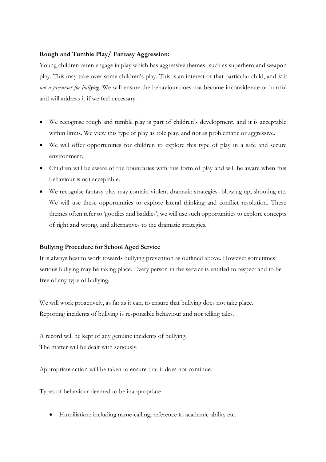#### **Rough and Tumble Play/ Fantasy Aggression:**

Young children often engage in play which has aggressive themes- such as superhero and weapon play. This may take over some children's play. This is an interest of that particular child, and *it is not a precursor for bullying*. We will ensure the behaviour does not become inconsiderate or hurtful and will address it if we feel necessary.

- We recognise rough and tumble play is part of children's development, and it is acceptable within limits. We view this type of play as role play, and not as problematic or aggressive.
- We will offer opportunities for children to explore this type of play in a safe and secure environment.
- Children will be aware of the boundaries with this form of play and will be aware when this behaviour is not acceptable.
- We recognise fantasy play may contain violent dramatic strategies- blowing up, shooting etc. We will use these opportunities to explore lateral thinking and conflict resolution. These themes often refer to 'goodies and baddies', we will use such opportunities to explore concepts of right and wrong, and alternatives to the dramatic strategies.

# **Bullying Procedure for School Aged Service**

It is always best to work towards bullying prevention as outlined above. However sometimes serious bullying may be taking place. Every person in the service is entitled to respect and to be free of any type of bullying.

We will work proactively, as far as it can, to ensure that bullying does not take place. Reporting incidents of bullying is responsible behaviour and not telling tales.

A record will be kept of any genuine incidents of bullying. The matter will be dealt with seriously.

Appropriate action will be taken to ensure that it does not continue.

Types of behaviour deemed to be inappropriate

• Humiliation; including name-calling, reference to academic ability etc.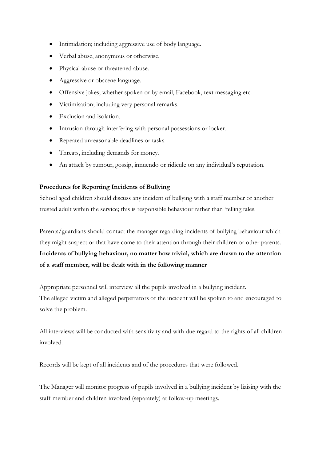- Intimidation; including aggressive use of body language.
- Verbal abuse, anonymous or otherwise.
- Physical abuse or threatened abuse.
- Aggressive or obscene language.
- Offensive jokes; whether spoken or by email, Facebook, text messaging etc.
- Victimisation; including very personal remarks.
- Exclusion and isolation.
- Intrusion through interfering with personal possessions or locker.
- Repeated unreasonable deadlines or tasks.
- Threats, including demands for money.
- An attack by rumour, gossip, innuendo or ridicule on any individual's reputation.

#### **Procedures for Reporting Incidents of Bullying**

School aged children should discuss any incident of bullying with a staff member or another trusted adult within the service; this is responsible behaviour rather than 'telling tales.

Parents/guardians should contact the manager regarding incidents of bullying behaviour which they might suspect or that have come to their attention through their children or other parents. **Incidents of bullying behaviour, no matter how trivial, which are drawn to the attention of a staff member, will be dealt with in the following manner**

Appropriate personnel will interview all the pupils involved in a bullying incident. The alleged victim and alleged perpetrators of the incident will be spoken to and encouraged to solve the problem.

All interviews will be conducted with sensitivity and with due regard to the rights of all children involved.

Records will be kept of all incidents and of the procedures that were followed.

The Manager will monitor progress of pupils involved in a bullying incident by liaising with the staff member and children involved (separately) at follow-up meetings.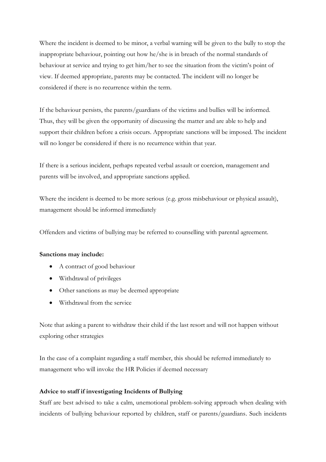Where the incident is deemed to be minor, a verbal warning will be given to the bully to stop the inappropriate behaviour, pointing out how he/she is in breach of the normal standards of behaviour at service and trying to get him/her to see the situation from the victim's point of view. If deemed appropriate, parents may be contacted. The incident will no longer be considered if there is no recurrence within the term.

If the behaviour persists, the parents/guardians of the victims and bullies will be informed. Thus, they will be given the opportunity of discussing the matter and are able to help and support their children before a crisis occurs. Appropriate sanctions will be imposed. The incident will no longer be considered if there is no recurrence within that year.

If there is a serious incident, perhaps repeated verbal assault or coercion, management and parents will be involved, and appropriate sanctions applied.

Where the incident is deemed to be more serious (e.g. gross misbehaviour or physical assault), management should be informed immediately

Offenders and victims of bullying may be referred to counselling with parental agreement.

#### **Sanctions may include:**

- A contract of good behaviour
- Withdrawal of privileges
- Other sanctions as may be deemed appropriate
- Withdrawal from the service

Note that asking a parent to withdraw their child if the last resort and will not happen without exploring other strategies

In the case of a complaint regarding a staff member, this should be referred immediately to management who will invoke the HR Policies if deemed necessary

#### **Advice to staff if investigating Incidents of Bullying**

Staff are best advised to take a calm, unemotional problem-solving approach when dealing with incidents of bullying behaviour reported by children, staff or parents/guardians. Such incidents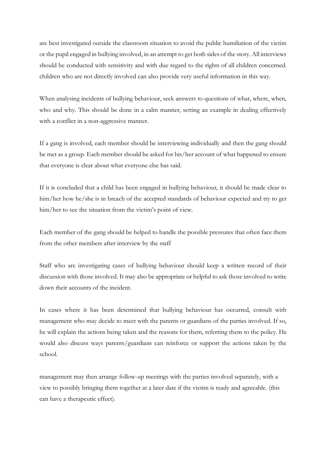are best investigated outside the classroom situation to avoid the public humiliation of the victim or the pupil engaged in bullying involved, in an attempt to get both sides of the story. All interviews should be conducted with sensitivity and with due regard to the rights of all children concerned. children who are not directly involved can also provide very useful information in this way.

When analysing incidents of bullying behaviour, seek answers to questions of what, where, when, who and why. This should be done in a calm manner, setting an example in dealing effectively with a conflict in a non-aggressive manner.

If a gang is involved, each member should be interviewing individually and then the gang should be met as a group. Each member should be asked for his/her account of what happened to ensure that everyone is clear about what everyone else has said.

If it is concluded that a child has been engaged in bullying behaviour, it should be made clear to him/her how he/she is in breach of the accepted standards of behaviour expected and try to get him/her to see the situation from the victim's point of view.

Each member of the gang should be helped to handle the possible pressures that often face them from the other members after interview by the staff

Staff who are investigating cases of bullying behaviour should keep a written record of their discussion with those involved. It may also be appropriate or helpful to ask those involved to write down their accounts of the incident.

In cases where it has been determined that bullying behaviour has occurred, consult with management who may decide to meet with the parents or guardians of the parties involved. If so, he will explain the actions being taken and the reasons for them, referring them to the policy. He would also discuss ways parents/guardians can reinforce or support the actions taken by the school.

management may then arrange follow-up meetings with the parties involved separately, with a view to possibly bringing them together at a later date if the victim is ready and agreeable. (this can have a therapeutic effect).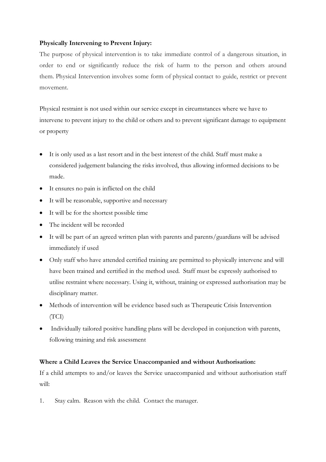## **Physically Intervening to Prevent Injury:**

The purpose of physical intervention is to take immediate control of a dangerous situation, in order to end or significantly reduce the risk of harm to the person and others around them. Physical Intervention involves some form of physical contact to guide, restrict or prevent movement.

Physical restraint is not used within our service except in circumstances where we have to intervene to prevent injury to the child or others and to prevent significant damage to equipment or property

- It is only used as a last resort and in the best interest of the child. Staff must make a considered judgement balancing the risks involved, thus allowing informed decisions to be made.
- It ensures no pain is inflicted on the child
- It will be reasonable, supportive and necessary
- It will be for the shortest possible time
- The incident will be recorded
- It will be part of an agreed written plan with parents and parents/guardians will be advised immediately if used
- Only staff who have attended certified training are permitted to physically intervene and will have been trained and certified in the method used. Staff must be expressly authorised to utilise restraint where necessary. Using it, without, training or expressed authorisation may be disciplinary matter.
- Methods of intervention will be evidence based such as Therapeutic Crisis Intervention (TCI)
- Individually tailored positive handling plans will be developed in conjunction with parents, following training and risk assessment

# **Where a Child Leaves the Service Unaccompanied and without Authorisation:**

If a child attempts to and/or leaves the Service unaccompanied and without authorisation staff will:

1. Stay calm. Reason with the child. Contact the manager.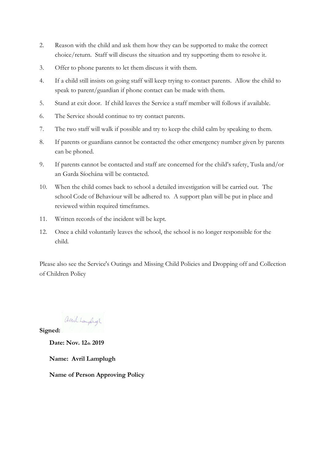- 2. Reason with the child and ask them how they can be supported to make the correct choice/return. Staff will discuss the situation and try supporting them to resolve it.
- 3. Offer to phone parents to let them discuss it with them.
- 4. If a child still insists on going staff will keep trying to contact parents. Allow the child to speak to parent/guardian if phone contact can be made with them.
- 5. Stand at exit door. If child leaves the Service a staff member will follows if available.
- 6. The Service should continue to try contact parents.
- 7. The two staff will walk if possible and try to keep the child calm by speaking to them.
- 8. If parents or guardians cannot be contacted the other emergency number given by parents can be phoned.
- 9. If parents cannot be contacted and staff are concerned for the child's safety, Tusla and/or an Garda Síochána will be contacted.
- 10. When the child comes back to school a detailed investigation will be carried out. The school Code of Behaviour will be adhered to. A support plan will be put in place and reviewed within required timeframes.
- 11. Written records of the incident will be kept.
- 12. Once a child voluntarily leaves the school, the school is no longer responsible for the child.

Please also see the Service's Outings and Missing Child Policies and Dropping off and Collection of Children Policy

avril Lampligh

**Signed:** 

**Date: Nov. 12th 2019**

**Name: Avril Lamplugh**

**Name of Person Approving Policy**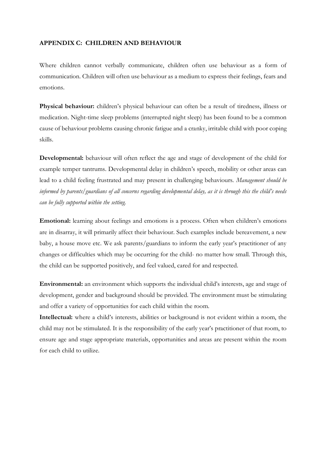#### **APPENDIX C: CHILDREN AND BEHAVIOUR**

Where children cannot verbally communicate, children often use behaviour as a form of communication. Children will often use behaviour as a medium to express their feelings, fears and emotions.

**Physical behaviour:** children's physical behaviour can often be a result of tiredness, illness or medication. Night-time sleep problems (interrupted night sleep) has been found to be a common cause of behaviour problems causing chronic fatigue and a cranky, irritable child with poor coping skills.

**Developmental:** behaviour will often reflect the age and stage of development of the child for example temper tantrums. Developmental delay in children's speech, mobility or other areas can lead to a child feeling frustrated and may present in challenging behaviours. *Management should be informed by parents/guardians of all concerns regarding developmental delay, as it is through this the child's needs can be fully supported within the setting.* 

**Emotional:** learning about feelings and emotions is a process. Often when children's emotions are in disarray, it will primarily affect their behaviour. Such examples include bereavement, a new baby, a house move etc. We ask parents/guardians to inform the early year's practitioner of any changes or difficulties which may be occurring for the child- no matter how small. Through this, the child can be supported positively, and feel valued, cared for and respected.

**Environmental:** an environment which supports the individual child's interests, age and stage of development, gender and background should be provided. The environment must be stimulating and offer a variety of opportunities for each child within the room.

**Intellectual:** where a child's interests, abilities or background is not evident within a room, the child may not be stimulated. It is the responsibility of the early year's practitioner of that room, to ensure age and stage appropriate materials, opportunities and areas are present within the room for each child to utilize.